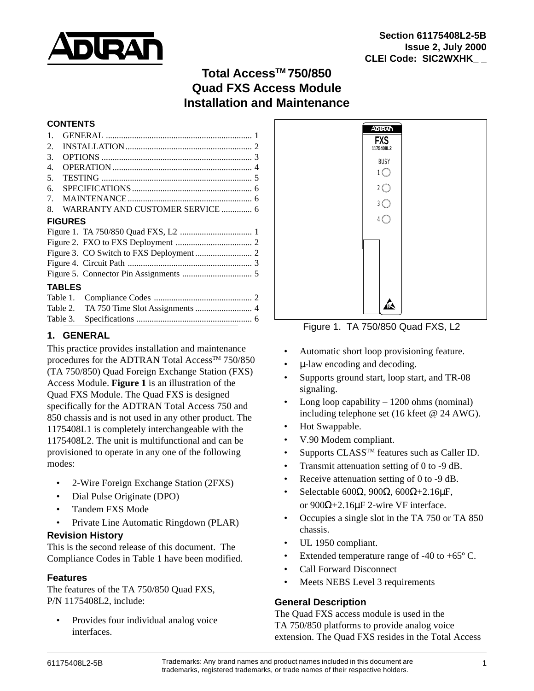

# **Total AccessTM 750/850 Quad FXS Access Module Installation and Maintenance**

#### **CONTENTS**

| 1.               |                                  |  |
|------------------|----------------------------------|--|
| 2.               |                                  |  |
| 3.               |                                  |  |
| $\overline{4}$ . |                                  |  |
| 5.               |                                  |  |
| б.               |                                  |  |
| 7.               |                                  |  |
| 8.               | WARRANTY AND CUSTOMER SERVICE  6 |  |
| <b>FIGURES</b>   |                                  |  |
|                  |                                  |  |
|                  |                                  |  |
|                  |                                  |  |
|                  |                                  |  |
|                  |                                  |  |
| <b>TABLES</b>    |                                  |  |
|                  |                                  |  |
|                  |                                  |  |

## **1. GENERAL**

This practice provides installation and maintenance procedures for the ADTRAN Total Access<sup>TM</sup> 750/850 (TA 750/850) Quad Foreign Exchange Station (FXS) Access Module. **Figure 1** is an illustration of the Quad FXS Module. The Quad FXS is designed specifically for the ADTRAN Total Access 750 and 850 chassis and is not used in any other product. The 1175408L1 is completely interchangeable with the 1175408L2. The unit is multifunctional and can be provisioned to operate in any one of the following modes:

Table 3. Specifications ..................................................... 6

- 2-Wire Foreign Exchange Station (2FXS)
- Dial Pulse Originate (DPO)
- Tandem FXS Mode
- Private Line Automatic Ringdown (PLAR)

## **Revision History**

This is the second release of this document. The Compliance Codes in Table 1 have been modified.

## **Features**

The features of the TA 750/850 Quad FXS, P/N 1175408L2, include:

• Provides four individual analog voice interfaces.



Figure 1. TA 750/850 Quad FXS, L2

- Automatic short loop provisioning feature.
- µ-law encoding and decoding.
- Supports ground start, loop start, and TR-08 signaling.
- Long loop capability 1200 ohms (nominal) including telephone set (16 kfeet @ 24 AWG).
- Hot Swappable.
- V.90 Modem compliant.
- Supports CLASS<sup>TM</sup> features such as Caller ID.
- Transmit attenuation setting of 0 to -9 dB.
- Receive attenuation setting of 0 to -9 dB.
- Selectable 600 $\Omega$ , 900 $\Omega$ , 600 $\Omega$ +2.16μF, or 900Ω+2.16µF 2-wire VF interface.
- Occupies a single slot in the TA 750 or TA 850 chassis.
- UL 1950 compliant.
- Extended temperature range of  $-40$  to  $+65^{\circ}$  C.
- Call Forward Disconnect
- Meets NEBS Level 3 requirements

## **General Description**

The Quad FXS access module is used in the TA 750/850 platforms to provide analog voice extension. The Quad FXS resides in the Total Access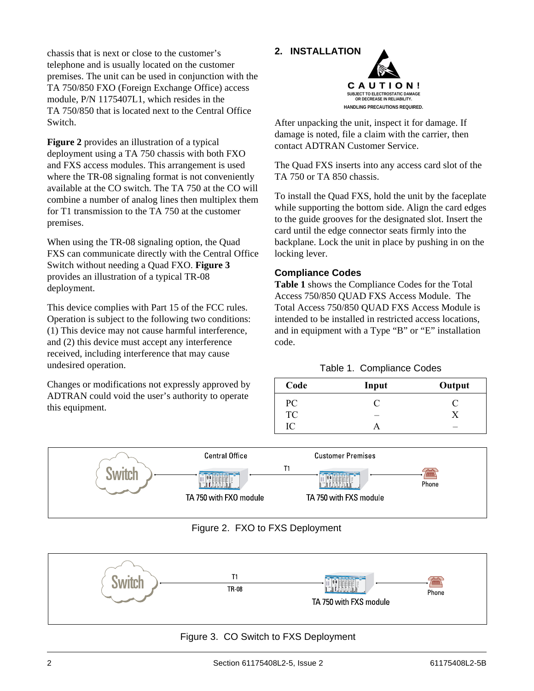chassis that is next or close to the customer's telephone and is usually located on the customer premises. The unit can be used in conjunction with the TA 750/850 FXO (Foreign Exchange Office) access module, P/N 1175407L1, which resides in the TA 750/850 that is located next to the Central Office Switch.

**Figure 2** provides an illustration of a typical deployment using a TA 750 chassis with both FXO and FXS access modules. This arrangement is used where the TR-08 signaling format is not conveniently available at the CO switch. The TA 750 at the CO will combine a number of analog lines then multiplex them for T1 transmission to the TA 750 at the customer premises.

When using the TR-08 signaling option, the Quad FXS can communicate directly with the Central Office Switch without needing a Quad FXO. **Figure 3** provides an illustration of a typical TR-08 deployment.

This device complies with Part 15 of the FCC rules. Operation is subject to the following two conditions: (1) This device may not cause harmful interference, and (2) this device must accept any interference received, including interference that may cause undesired operation.

Changes or modifications not expressly approved by ADTRAN could void the user's authority to operate this equipment.

# **2. INSTALLATION C A U T I O N ! SUBJECT TO ELECTROSTATIC DAMAGE**

**OR DECREASE IN RELIABILITY. HANDLING PRECAUTIONS REQUIRED.**

After unpacking the unit, inspect it for damage. If damage is noted, file a claim with the carrier, then contact ADTRAN Customer Service.

The Quad FXS inserts into any access card slot of the TA 750 or TA 850 chassis.

To install the Quad FXS, hold the unit by the faceplate while supporting the bottom side. Align the card edges to the guide grooves for the designated slot. Insert the card until the edge connector seats firmly into the backplane. Lock the unit in place by pushing in on the locking lever.

## **Compliance Codes**

**Table 1** shows the Compliance Codes for the Total Access 750/850 QUAD FXS Access Module. The Total Access 750/850 QUAD FXS Access Module is intended to be installed in restricted access locations, and in equipment with a Type "B" or "E" installation code.

#### Table 1. Compliance Codes

| Code      | Input | Output |
|-----------|-------|--------|
| PC        |       |        |
| <b>TC</b> |       |        |
| IC        |       | -      |



## Figure 2. FXO to FXS Deployment



## Figure 3. CO Switch to FXS Deployment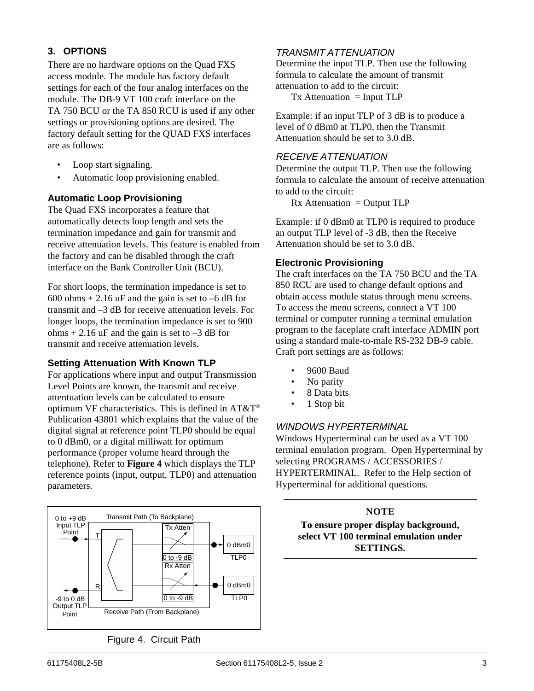## **3. OPTIONS**

There are no hardware options on the Quad FXS access module. The module has factory default settings for each of the four analog interfaces on the module. The DB-9 VT 100 craft interface on the TA 750 BCU or the TA 850 RCU is used if any other settings or provisioning options are desired. The factory default setting for the QUAD FXS interfaces are as follows:

- Loop start signaling.
- Automatic loop provisioning enabled.

#### **Automatic Loop Provisioning**

The Quad FXS incorporates a feature that automatically detects loop length and sets the termination impedance and gain for transmit and receive attenuation levels. This feature is enabled from the factory and can be disabled through the craft interface on the Bank Controller Unit (BCU).

For short loops, the termination impedance is set to 600 ohms  $+ 2.16$  uF and the gain is set to  $-6$  dB for transmit and –3 dB for receive attenuation levels. For longer loops, the termination impedance is set to 900 ohms  $+ 2.16$  uF and the gain is set to  $-3$  dB for transmit and receive attenuation levels.

#### **Setting Attenuation With Known TLP**

For applications where input and output Transmission Level Points are known, the transmit and receive attentuation levels can be calculated to ensure optimum VF characteristics. This is defined in AT&T® Publication 43801 which explains that the value of the digital signal at reference point TLP0 should be equal to 0 dBm0, or a digital milliwatt for optimum performance (proper volume heard through the telephone). Refer to **Figure 4** which displays the TLP reference points (input, output, TLP0) and attenuation parameters.



Figure 4. Circuit Path

## TRANSMIT ATTENUATION

Determine the input TLP. Then use the following formula to calculate the amount of transmit attenuation to add to the circuit:

 $Tx$  Attenuation = Input TLP

Example: if an input TLP of 3 dB is to produce a level of 0 dBm0 at TLP0, then the Transmit Attenuation should be set to 3.0 dB.

#### RECEIVE ATTENUATION

Determine the output TLP. Then use the following formula to calculate the amount of receive attenuation to add to the circuit:

 $Rx$  Attenuation = Output TLP

Example: if 0 dBm0 at TLP0 is required to produce an output TLP level of -3 dB, then the Receive Attenuation should be set to 3.0 dB.

#### **Electronic Provisioning**

The craft interfaces on the TA 750 BCU and the TA 850 RCU are used to change default options and obtain access module status through menu screens. To access the menu screens, connect a VT 100 terminal or computer running a terminal emulation program to the faceplate craft interface ADMIN port using a standard male-to-male RS-232 DB-9 cable. Craft port settings are as follows:

- 9600 Baud
- No parity
- 8 Data bits
- 1 Stop bit

## WINDOWS HYPERTERMINAL

Windows Hyperterminal can be used as a VT 100 terminal emulation program. Open Hyperterminal by selecting PROGRAMS / ACCESSORIES / HYPERTERMINAL. Refer to the Help section of Hyperterminal for additional questions.

## **NOTE**

**To ensure proper display background, select VT 100 terminal emulation under SETTINGS.**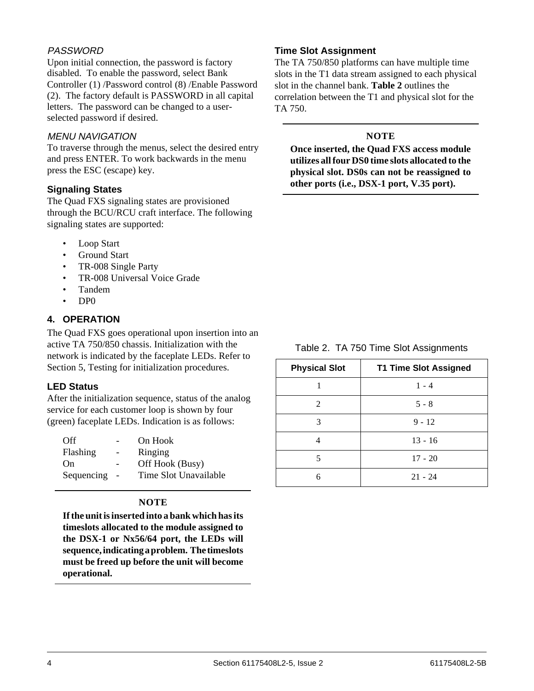## PASSWORD

Upon initial connection, the password is factory disabled. To enable the password, select Bank Controller (1) /Password control (8) /Enable Password (2). The factory default is PASSWORD in all capital letters. The password can be changed to a userselected password if desired.

#### MENU NAVIGATION

To traverse through the menus, select the desired entry and press ENTER. To work backwards in the menu press the ESC (escape) key.

#### **Signaling States**

The Quad FXS signaling states are provisioned through the BCU/RCU craft interface. The following signaling states are supported:

- Loop Start
- Ground Start
- TR-008 Single Party
- TR-008 Universal Voice Grade
- Tandem
- DP0

## **4. OPERATION**

The Quad FXS goes operational upon insertion into an active TA 750/850 chassis. Initialization with the network is indicated by the faceplate LEDs. Refer to Section 5, Testing for initialization procedures.

#### **LED Status**

After the initialization sequence, status of the analog service for each customer loop is shown by four (green) faceplate LEDs. Indication is as follows:

| Off        |                | On Hook               |
|------------|----------------|-----------------------|
| Flashing   |                | Ringing               |
| On.        |                | Off Hook (Busy)       |
| Sequencing | $\overline{a}$ | Time Slot Unavailable |

## **NOTE**

**If the unit is inserted into a bank which has its timeslots allocated to the module assigned to the DSX-1 or Nx56/64 port, the LEDs will sequence, indicating a problem. The timeslots must be freed up before the unit will become operational.**

#### **Time Slot Assignment**

The TA 750/850 platforms can have multiple time slots in the T1 data stream assigned to each physical slot in the channel bank. **Table 2** outlines the correlation between the T1 and physical slot for the TA 750.

## **NOTE**

**Once inserted, the Quad FXS access module utilizes all four DS0 time slots allocated to the physical slot. DS0s can not be reassigned to other ports (i.e., DSX-1 port, V.35 port).**

Table 2. TA 750 Time Slot Assignments

| <b>Physical Slot</b> | <b>T1 Time Slot Assigned</b> |
|----------------------|------------------------------|
|                      | $1 - 4$                      |
| $\mathfrak{D}$       | $5 - 8$                      |
| 3                    | $9 - 12$                     |
| 4                    | $13 - 16$                    |
| 5                    | $17 - 20$                    |
| 6                    | $21 - 24$                    |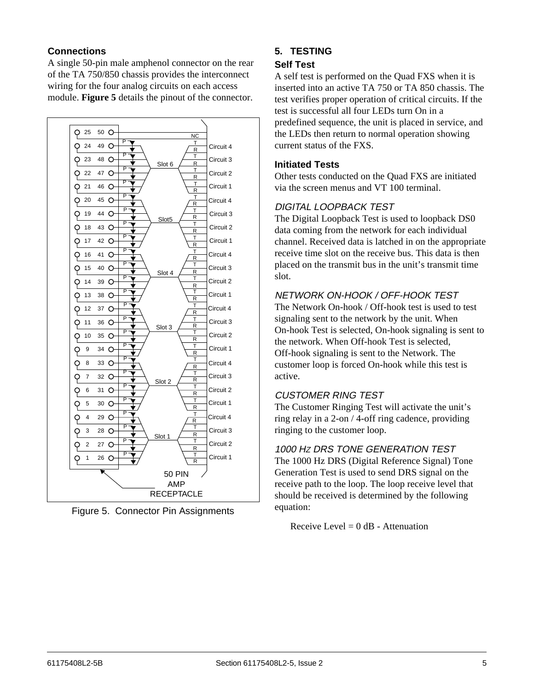## **Connections**

A single 50-pin male amphenol connector on the rear of the TA 750/850 chassis provides the interconnect wiring for the four analog circuits on each access module. **Figure 5** details the pinout of the connector.



Figure 5. Connector Pin Assignments

# **5. TESTING**

## **Self Test**

A self test is performed on the Quad FXS when it is inserted into an active TA 750 or TA 850 chassis. The test verifies proper operation of critical circuits. If the test is successful all four LEDs turn On in a predefined sequence, the unit is placed in service, and the LEDs then return to normal operation showing current status of the FXS.

#### **Initiated Tests**

Other tests conducted on the Quad FXS are initiated via the screen menus and VT 100 terminal.

## DIGITAL LOOPBACK TEST

The Digital Loopback Test is used to loopback DS0 data coming from the network for each individual channel. Received data is latched in on the appropriate receive time slot on the receive bus. This data is then placed on the transmit bus in the unit's transmit time slot.

## NETWORK ON-HOOK / OFF-HOOK TEST

The Network On-hook / Off-hook test is used to test signaling sent to the network by the unit. When On-hook Test is selected, On-hook signaling is sent to the network. When Off-hook Test is selected, Off-hook signaling is sent to the Network. The customer loop is forced On-hook while this test is active.

## CUSTOMER RING TEST

The Customer Ringing Test will activate the unit's ring relay in a 2-on / 4-off ring cadence, providing ringing to the customer loop.

## 1000 HZ DRS TONE GENERATION TEST

The 1000 Hz DRS (Digital Reference Signal) Tone Generation Test is used to send DRS signal on the receive path to the loop. The loop receive level that should be received is determined by the following equation:

Receive Level  $= 0$  dB - Attenuation